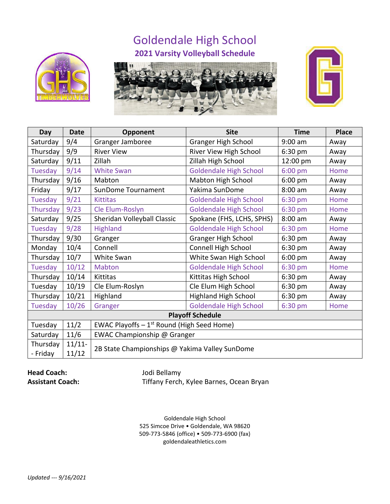## Goldendale High School **2021 Varsity Volleyball Schedule**







| Day                     | <b>Date</b>        | Opponent                                       | <b>Site</b>                   | <b>Time</b> | <b>Place</b> |  |  |  |
|-------------------------|--------------------|------------------------------------------------|-------------------------------|-------------|--------------|--|--|--|
| Saturday                | 9/4                | Granger Jamboree                               | <b>Granger High School</b>    | $9:00$ am   | Away         |  |  |  |
| Thursday                | 9/9                | <b>River View</b>                              | River View High School        | 6:30 pm     | Away         |  |  |  |
| Saturday                | 9/11               | Zillah                                         | Zillah High School            | 12:00 pm    | Away         |  |  |  |
| Tuesday                 | 9/14               | <b>White Swan</b>                              | <b>Goldendale High School</b> | 6:00 pm     | Home         |  |  |  |
| Thursday                | 9/16               | Mabton                                         | Mabton High School            | $6:00$ pm   | Away         |  |  |  |
| Friday                  | 9/17               | SunDome Tournament                             | Yakima SunDome                | $8:00$ am   | Away         |  |  |  |
| Tuesday                 | 9/21               | <b>Kittitas</b>                                | <b>Goldendale High School</b> | 6:30 pm     | Home         |  |  |  |
| Thursday                | 9/23               | Cle Elum-Roslyn                                | <b>Goldendale High School</b> | 6:30 pm     | Home         |  |  |  |
| Saturday                | 9/25               | Sheridan Volleyball Classic                    | Spokane (FHS, LCHS, SPHS)     | $8:00$ am   | Away         |  |  |  |
| Tuesday                 | 9/28               | Highland                                       | <b>Goldendale High School</b> | 6:30 pm     | Home         |  |  |  |
| Thursday                | 9/30               | Granger                                        | <b>Granger High School</b>    | 6:30 pm     | Away         |  |  |  |
| Monday                  | 10/4               | Connell                                        | Connell High School           | $6:30$ pm   | Away         |  |  |  |
| Thursday                | 10/7               | White Swan                                     | White Swan High School        | $6:00$ pm   | Away         |  |  |  |
| Tuesday                 | 10/12              | Mabton                                         | <b>Goldendale High School</b> | 6:30 pm     | Home         |  |  |  |
| Thursday                | 10/14              | Kittitas                                       | Kittitas High School          | 6:30 pm     | Away         |  |  |  |
| Tuesday                 | 10/19              | Cle Elum-Roslyn                                | Cle Elum High School          | 6:30 pm     | Away         |  |  |  |
| Thursday                | 10/21              | Highland                                       | <b>Highland High School</b>   | 6:30 pm     | Away         |  |  |  |
| Tuesday                 | 10/26              | Granger                                        | <b>Goldendale High School</b> | 6:30 pm     | Home         |  |  |  |
| <b>Playoff Schedule</b> |                    |                                                |                               |             |              |  |  |  |
| Tuesday                 | 11/2               | EWAC Playoffs $-1^{st}$ Round (High Seed Home) |                               |             |              |  |  |  |
| Saturday                | 11/6               | EWAC Championship @ Granger                    |                               |             |              |  |  |  |
| Thursday<br>- Friday    | $11/11$ -<br>11/12 | 2B State Championships @ Yakima Valley SunDome |                               |             |              |  |  |  |

## **Head Coach:** Jodi Bellamy

**Assistant Coach:** Tiffany Ferch, Kylee Barnes, Ocean Bryan

Goldendale High School 525 Simcoe Drive • Goldendale, WA 98620 509-773-5846 (office) • 509-773-6900 (fax) goldendaleathletics.com